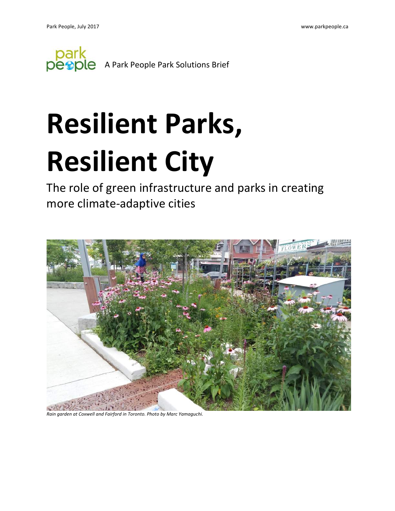

# **Resilient Parks, Resilient City**

The role of green infrastructure and parks in creating more climate-adaptive cities



*Rain garden at Coxwell and Fairford in Toronto. Photo by Marc Yamaguchi.*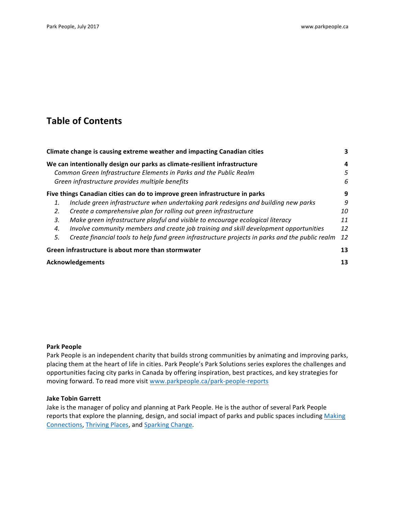## **Table of Contents**

| Climate change is causing extreme weather and impacting Canadian cities     |                                                                                                 | 3  |
|-----------------------------------------------------------------------------|-------------------------------------------------------------------------------------------------|----|
|                                                                             | We can intentionally design our parks as climate-resilient infrastructure                       |    |
| Common Green Infrastructure Elements in Parks and the Public Realm          |                                                                                                 | 5  |
|                                                                             | Green infrastructure provides multiple benefits                                                 | 6  |
| Five things Canadian cities can do to improve green infrastructure in parks |                                                                                                 | 9  |
|                                                                             | Include green infrastructure when undertaking park redesigns and building new parks             | 9  |
| 2.                                                                          | Create a comprehensive plan for rolling out green infrastructure                                | 10 |
| 3.                                                                          | Make green infrastructure playful and visible to encourage ecological literacy                  | 11 |
| 4.                                                                          | Involve community members and create job training and skill development opportunities           | 12 |
| 5.                                                                          | Create financial tools to help fund green infrastructure projects in parks and the public realm | 12 |
|                                                                             | Green infrastructure is about more than stormwater                                              |    |
|                                                                             | <b>Acknowledgements</b>                                                                         |    |

#### **Park People**

Park People is an independent charity that builds strong communities by animating and improving parks, placing them at the heart of life in cities. Park People's Park Solutions series explores the challenges and opportunities facing city parks in Canada by offering inspiration, best practices, and key strategies for moving forward. To read more visit www.parkpeople.ca/park-people-reports

#### **Jake Tobin Garrett**

Jake is the manager of policy and planning at Park People. He is the author of several Park People reports that explore the planning, design, and social impact of parks and public spaces including Making Connections, Thriving Places, and Sparking Change.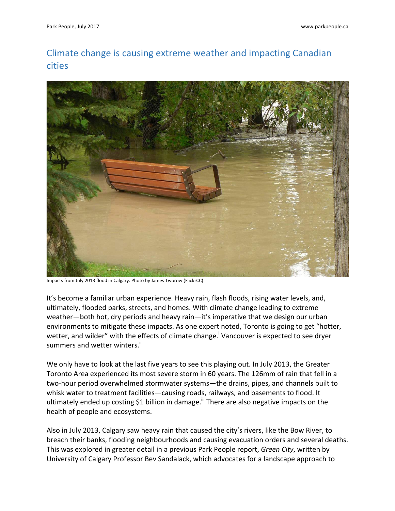# Climate change is causing extreme weather and impacting Canadian cities



Impacts from July 2013 flood in Calgary. Photo by James Tworow (FlickrCC)

It's become a familiar urban experience. Heavy rain, flash floods, rising water levels, and, ultimately, flooded parks, streets, and homes. With climate change leading to extreme weather—both hot, dry periods and heavy rain—it's imperative that we design our urban environments to mitigate these impacts. As one expert noted, Toronto is going to get "hotter, wetter, and wilder" with the effects of climate change.<sup>i</sup> Vancouver is expected to see dryer summers and wetter winters.<sup>ii</sup>

We only have to look at the last five years to see this playing out. In July 2013, the Greater Toronto Area experienced its most severe storm in 60 years. The 126mm of rain that fell in a two-hour period overwhelmed stormwater systems—the drains, pipes, and channels built to whisk water to treatment facilities—causing roads, railways, and basements to flood. It ultimately ended up costing \$1 billion in damage.<sup>III</sup> There are also negative impacts on the health of people and ecosystems.

Also in July 2013, Calgary saw heavy rain that caused the city's rivers, like the Bow River, to breach their banks, flooding neighbourhoods and causing evacuation orders and several deaths. This was explored in greater detail in a previous Park People report, *Green City*, written by University of Calgary Professor Bev Sandalack, which advocates for a landscape approach to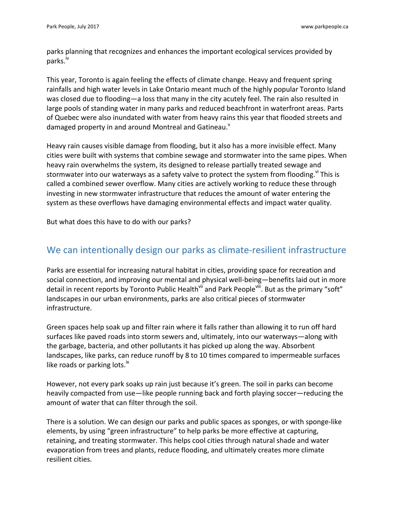parks planning that recognizes and enhances the important ecological services provided by parks.<sup>iv</sup>

This year, Toronto is again feeling the effects of climate change. Heavy and frequent spring rainfalls and high water levels in Lake Ontario meant much of the highly popular Toronto Island was closed due to flooding—a loss that many in the city acutely feel. The rain also resulted in large pools of standing water in many parks and reduced beachfront in waterfront areas. Parts of Quebec were also inundated with water from heavy rains this year that flooded streets and damaged property in and around Montreal and Gatineau.<sup>v</sup>

Heavy rain causes visible damage from flooding, but it also has a more invisible effect. Many cities were built with systems that combine sewage and stormwater into the same pipes. When heavy rain overwhelms the system, its designed to release partially treated sewage and stormwater into our waterways as a safety valve to protect the system from flooding. <sup>vi</sup> This is called a combined sewer overflow. Many cities are actively working to reduce these through investing in new stormwater infrastructure that reduces the amount of water entering the system as these overflows have damaging environmental effects and impact water quality.

But what does this have to do with our parks?

## We can intentionally design our parks as climate-resilient infrastructure

Parks are essential for increasing natural habitat in cities, providing space for recreation and social connection, and improving our mental and physical well-being—benefits laid out in more detail in recent reports by Toronto Public Health<sup>vii</sup> and Park People<sup>viii</sup>. But as the primary "soft" landscapes in our urban environments, parks are also critical pieces of stormwater infrastructure. 

Green spaces help soak up and filter rain where it falls rather than allowing it to run off hard surfaces like paved roads into storm sewers and, ultimately, into our waterways—along with the garbage, bacteria, and other pollutants it has picked up along the way. Absorbent landscapes, like parks, can reduce runoff by 8 to 10 times compared to impermeable surfaces like roads or parking lots. $\mathrm{K}$ 

However, not every park soaks up rain just because it's green. The soil in parks can become heavily compacted from use—like people running back and forth playing soccer—reducing the amount of water that can filter through the soil.

There is a solution. We can design our parks and public spaces as sponges, or with sponge-like elements, by using "green infrastructure" to help parks be more effective at capturing, retaining, and treating stormwater. This helps cool cities through natural shade and water evaporation from trees and plants, reduce flooding, and ultimately creates more climate resilient cities.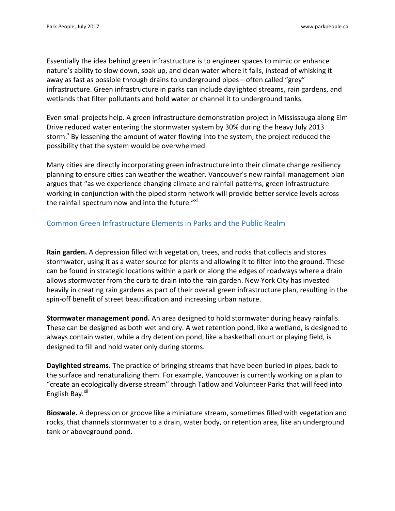Essentially the idea behind green infrastructure is to engineer spaces to mimic or enhance nature's ability to slow down, soak up, and clean water where it falls, instead of whisking it away as fast as possible through drains to underground pipes—often called "grey" infrastructure. Green infrastructure in parks can include daylighted streams, rain gardens, and wetlands that filter pollutants and hold water or channel it to underground tanks.

Even small projects help. A green infrastructure demonstration project in Mississauga along Elm Drive reduced water entering the stormwater system by 30% during the heavy July 2013 storm.<sup>x</sup> By lessening the amount of water flowing into the system, the project reduced the possibility that the system would be overwhelmed.

Many cities are directly incorporating green infrastructure into their climate change resiliency planning to ensure cities can weather the weather. Vancouver's new rainfall management plan argues that "as we experience changing climate and rainfall patterns, green infrastructure working in conjunction with the piped storm network will provide better service levels across the rainfall spectrum now and into the future."Xi

## Common Green Infrastructure Elements in Parks and the Public Realm

**Rain garden.** A depression filled with vegetation, trees, and rocks that collects and stores stormwater, using it as a water source for plants and allowing it to filter into the ground. These can be found in strategic locations within a park or along the edges of roadways where a drain allows stormwater from the curb to drain into the rain garden. New York City has invested heavily in creating rain gardens as part of their overall green infrastructure plan, resulting in the spin-off benefit of street beautification and increasing urban nature.

**Stormwater management pond.** An area designed to hold stormwater during heavy rainfalls. These can be designed as both wet and dry. A wet retention pond, like a wetland, is designed to always contain water, while a dry detention pond, like a basketball court or playing field, is designed to fill and hold water only during storms.

**Daylighted streams.** The practice of bringing streams that have been buried in pipes, back to the surface and renaturalizing them. For example, Vancouver is currently working on a plan to "create an ecologically diverse stream" through Tatlow and Volunteer Parks that will feed into English Bay.<sup>xii</sup>

**Bioswale.** A depression or groove like a miniature stream, sometimes filled with vegetation and rocks, that channels stormwater to a drain, water body, or retention area, like an underground tank or aboveground pond.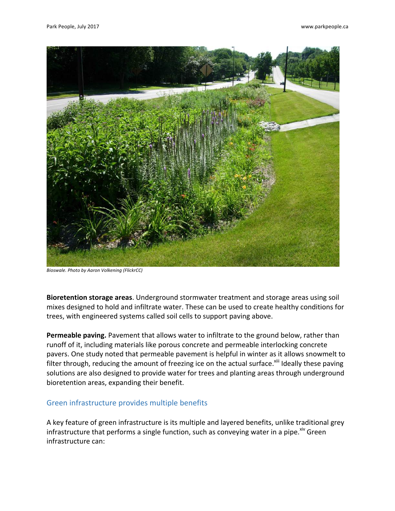

*Bioswale. Photo by Aaron Volkening (FlickrCC)*

**Bioretention storage areas**. Underground stormwater treatment and storage areas using soil mixes designed to hold and infiltrate water. These can be used to create healthy conditions for trees, with engineered systems called soil cells to support paving above.

**Permeable paving.** Pavement that allows water to infiltrate to the ground below, rather than runoff of it, including materials like porous concrete and permeable interlocking concrete pavers. One study noted that permeable pavement is helpful in winter as it allows snowmelt to filter through, reducing the amount of freezing ice on the actual surface.<sup>xiii</sup> Ideally these paving solutions are also designed to provide water for trees and planting areas through underground bioretention areas, expanding their benefit.

#### Green infrastructure provides multiple benefits

A key feature of green infrastructure is its multiple and layered benefits, unlike traditional grey infrastructure that performs a single function, such as conveying water in a pipe. Xiv Green infrastructure can: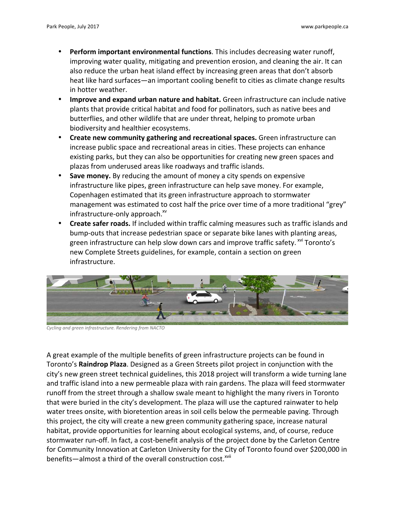- **Perform important environmental functions**. This includes decreasing water runoff, improving water quality, mitigating and prevention erosion, and cleaning the air. It can also reduce the urban heat island effect by increasing green areas that don't absorb heat like hard surfaces—an important cooling benefit to cities as climate change results in hotter weather.
- **Improve and expand urban nature and habitat.** Green infrastructure can include native plants that provide critical habitat and food for pollinators, such as native bees and butterflies, and other wildlife that are under threat, helping to promote urban biodiversity and healthier ecosystems.
- Create new community gathering and recreational spaces. Green infrastructure can increase public space and recreational areas in cities. These projects can enhance existing parks, but they can also be opportunities for creating new green spaces and plazas from underused areas like roadways and traffic islands.
- **Save money.** By reducing the amount of money a city spends on expensive infrastructure like pipes, green infrastructure can help save money. For example, Copenhagen estimated that its green infrastructure approach to stormwater management was estimated to cost half the price over time of a more traditional "grey" infrastructure-only approach.<sup>xv</sup>
- **Create safer roads.** If included within traffic calming measures such as traffic islands and bump-outs that increase pedestrian space or separate bike lanes with planting areas, green infrastructure can help slow down cars and improve traffic safety. <sup>xvi</sup> Toronto's new Complete Streets guidelines, for example, contain a section on green infrastructure.



Cycling and green infrastructure. Rendering from NACTO

A great example of the multiple benefits of green infrastructure projects can be found in Toronto's **Raindrop Plaza**. Designed as a Green Streets pilot project in conjunction with the city's new green street technical guidelines, this 2018 project will transform a wide turning lane and traffic island into a new permeable plaza with rain gardens. The plaza will feed stormwater runoff from the street through a shallow swale meant to highlight the many rivers in Toronto that were buried in the city's development. The plaza will use the captured rainwater to help water trees onsite, with bioretention areas in soil cells below the permeable paving. Through this project, the city will create a new green community gathering space, increase natural habitat, provide opportunities for learning about ecological systems, and, of course, reduce stormwater run-off. In fact, a cost-benefit analysis of the project done by the Carleton Centre for Community Innovation at Carleton University for the City of Toronto found over \$200,000 in benefits—almost a third of the overall construction cost.<sup>xvii</sup>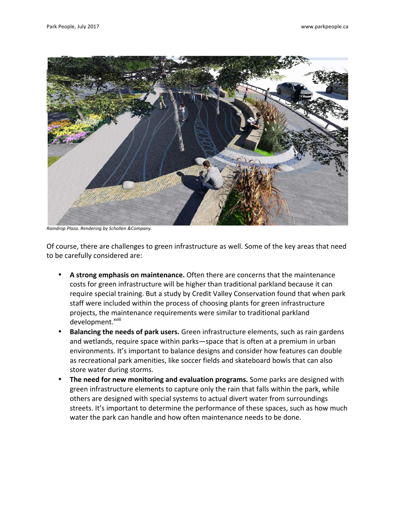

*Raindrop Plaza. Rendering by Schollen &Company.*

Of course, there are challenges to green infrastructure as well. Some of the key areas that need to be carefully considered are:

- A strong emphasis on maintenance. Often there are concerns that the maintenance costs for green infrastructure will be higher than traditional parkland because it can require special training. But a study by Credit Valley Conservation found that when park staff were included within the process of choosing plants for green infrastructure projects, the maintenance requirements were similar to traditional parkland development.<sup>xviii</sup>
- **Balancing the needs of park users.** Green infrastructure elements, such as rain gardens and wetlands, require space within parks—space that is often at a premium in urban environments. It's important to balance designs and consider how features can double as recreational park amenities, like soccer fields and skateboard bowls that can also store water during storms.
- The need for new monitoring and evaluation programs. Some parks are designed with green infrastructure elements to capture only the rain that falls within the park, while others are designed with special systems to actual divert water from surroundings streets. It's important to determine the performance of these spaces, such as how much water the park can handle and how often maintenance needs to be done.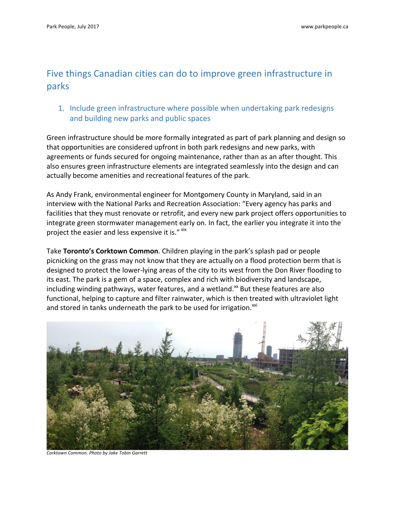# Five things Canadian cities can do to improve green infrastructure in parks

## 1. Include green infrastructure where possible when undertaking park redesigns and building new parks and public spaces

Green infrastructure should be more formally integrated as part of park planning and design so that opportunities are considered upfront in both park redesigns and new parks, with agreements or funds secured for ongoing maintenance, rather than as an after thought. This also ensures green infrastructure elements are integrated seamlessly into the design and can actually become amenities and recreational features of the park.

As Andy Frank, environmental engineer for Montgomery County in Maryland, said in an interview with the National Parks and Recreation Association: "Every agency has parks and facilities that they must renovate or retrofit, and every new park project offers opportunities to integrate green stormwater management early on. In fact, the earlier you integrate it into the project the easier and less expensive it is." xix

**Take Toronto's Corktown Common**. Children playing in the park's splash pad or people picnicking on the grass may not know that they are actually on a flood protection berm that is designed to protect the lower-lying areas of the city to its west from the Don River flooding to its east. The park is a gem of a space, complex and rich with biodiversity and landscape, including winding pathways, water features, and a wetland.<sup>xx</sup> But these features are also functional, helping to capture and filter rainwater, which is then treated with ultraviolet light and stored in tanks underneath the park to be used for irrigation.<sup>xxi</sup>



*Corktown Common. Photo by Jake Tobin Garrett*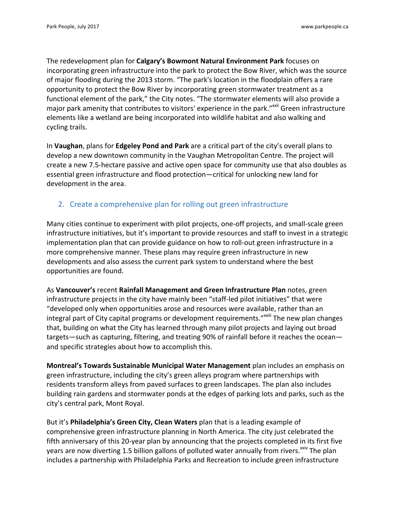The redevelopment plan for **Calgary's Bowmont Natural Environment Park** focuses on incorporating green infrastructure into the park to protect the Bow River, which was the source of major flooding during the 2013 storm. "The park's location in the floodplain offers a rare opportunity to protect the Bow River by incorporating green stormwater treatment as a functional element of the park," the City notes. "The stormwater elements will also provide a major park amenity that contributes to visitors' experience in the park."<sup>xxii</sup> Green infrastructure elements like a wetland are being incorporated into wildlife habitat and also walking and cycling trails.

In **Vaughan**, plans for **Edgeley Pond and Park** are a critical part of the city's overall plans to develop a new downtown community in the Vaughan Metropolitan Centre. The project will create a new 7.5-hectare passive and active open space for community use that also doubles as essential green infrastructure and flood protection—critical for unlocking new land for development in the area.

## 2. Create a comprehensive plan for rolling out green infrastructure

Many cities continue to experiment with pilot projects, one-off projects, and small-scale green infrastructure initiatives, but it's important to provide resources and staff to invest in a strategic implementation plan that can provide guidance on how to roll-out green infrastructure in a more comprehensive manner. These plans may require green infrastructure in new developments and also assess the current park system to understand where the best opportunities are found.

As Vancouver's recent Rainfall Management and Green Infrastructure Plan notes, green infrastructure projects in the city have mainly been "staff-led pilot initiatives" that were "developed only when opportunities arose and resources were available, rather than an integral part of City capital programs or development requirements."<sup>xxiii</sup> The new plan changes that, building on what the City has learned through many pilot projects and laying out broad targets—such as capturing, filtering, and treating 90% of rainfall before it reaches the ocean and specific strategies about how to accomplish this.

**Montreal's Towards Sustainable Municipal Water Management** plan includes an emphasis on green infrastructure, including the city's green alleys program where partnerships with residents transform alleys from paved surfaces to green landscapes. The plan also includes building rain gardens and stormwater ponds at the edges of parking lots and parks, such as the city's central park, Mont Royal.

But it's **Philadelphia's Green City, Clean Waters** plan that is a leading example of comprehensive green infrastructure planning in North America. The city just celebrated the fifth anniversary of this 20-year plan by announcing that the projects completed in its first five years are now diverting 1.5 billion gallons of polluted water annually from rivers.<sup>xxiv</sup> The plan includes a partnership with Philadelphia Parks and Recreation to include green infrastructure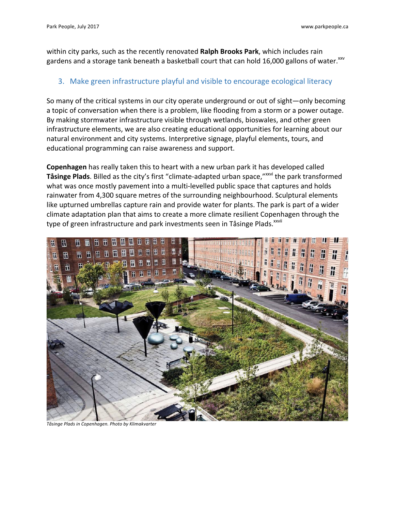within city parks, such as the recently renovated **Ralph Brooks Park**, which includes rain gardens and a storage tank beneath a basketball court that can hold 16,000 gallons of water.<sup>xxv</sup>

#### 3. Make green infrastructure playful and visible to encourage ecological literacy

So many of the critical systems in our city operate underground or out of sight—only becoming a topic of conversation when there is a problem, like flooding from a storm or a power outage. By making stormwater infrastructure visible through wetlands, bioswales, and other green infrastructure elements, we are also creating educational opportunities for learning about our natural environment and city systems. Interpretive signage, playful elements, tours, and educational programming can raise awareness and support.

**Copenhagen** has really taken this to heart with a new urban park it has developed called **Tåsinge Plads**. Billed as the city's first "climate-adapted urban space,"<sup>xxvi</sup> the park transformed what was once mostly pavement into a multi-levelled public space that captures and holds rainwater from 4,300 square metres of the surrounding neighbourhood. Sculptural elements like upturned umbrellas capture rain and provide water for plants. The park is part of a wider climate adaptation plan that aims to create a more climate resilient Copenhagen through the type of green infrastructure and park investments seen in Tåsinge Plads.<sup>xxvii</sup>



*Tåsinge Plads in Copenhagen. Photo by Klimakvarter*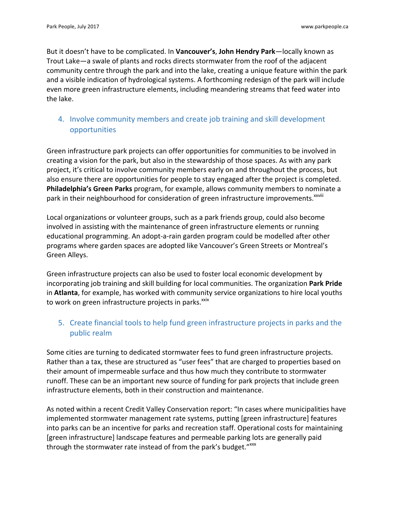But it doesn't have to be complicated. In **Vancouver's, John Hendry Park**—locally known as Trout Lake—a swale of plants and rocks directs stormwater from the roof of the adjacent community centre through the park and into the lake, creating a unique feature within the park and a visible indication of hydrological systems. A forthcoming redesign of the park will include even more green infrastructure elements, including meandering streams that feed water into the lake.

## 4. Involve community members and create job training and skill development opportunities

Green infrastructure park projects can offer opportunities for communities to be involved in creating a vision for the park, but also in the stewardship of those spaces. As with any park project, it's critical to involve community members early on and throughout the process, but also ensure there are opportunities for people to stay engaged after the project is completed. **Philadelphia's Green Parks** program, for example, allows community members to nominate a park in their neighbourhood for consideration of green infrastructure improvements.<sup>xxviii</sup>

Local organizations or volunteer groups, such as a park friends group, could also become involved in assisting with the maintenance of green infrastructure elements or running educational programming. An adopt-a-rain garden program could be modelled after other programs where garden spaces are adopted like Vancouver's Green Streets or Montreal's Green Alleys.

Green infrastructure projects can also be used to foster local economic development by incorporating job training and skill building for local communities. The organization Park Pride in **Atlanta**, for example, has worked with community service organizations to hire local youths to work on green infrastructure projects in parks.<sup>xxix</sup>

## 5. Create financial tools to help fund green infrastructure projects in parks and the public realm

Some cities are turning to dedicated stormwater fees to fund green infrastructure projects. Rather than a tax, these are structured as "user fees" that are charged to properties based on their amount of impermeable surface and thus how much they contribute to stormwater runoff. These can be an important new source of funding for park projects that include green infrastructure elements, both in their construction and maintenance.

As noted within a recent Credit Valley Conservation report: "In cases where municipalities have implemented stormwater management rate systems, putting [green infrastructure] features into parks can be an incentive for parks and recreation staff. Operational costs for maintaining [green infrastructure] landscape features and permeable parking lots are generally paid through the stormwater rate instead of from the park's budget."XXX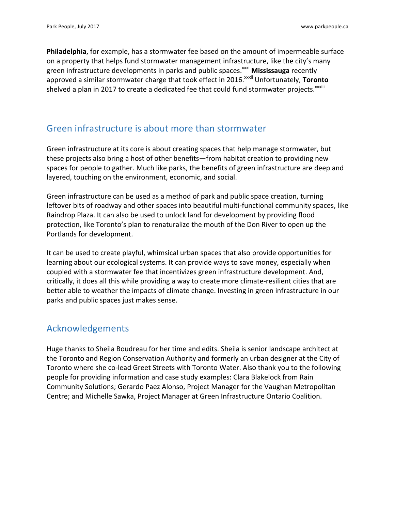**Philadelphia**, for example, has a stormwater fee based on the amount of impermeable surface on a property that helps fund stormwater management infrastructure, like the city's many green infrastructure developments in parks and public spaces.<sup>xxxi</sup> Mississauga recently approved a similar stormwater charge that took effect in 2016.<sup>xxxii</sup> Unfortunately, **Toronto** shelved a plan in 2017 to create a dedicated fee that could fund stormwater projects. $^{\text{xxxiii}}$ 

## Green infrastructure is about more than stormwater

Green infrastructure at its core is about creating spaces that help manage stormwater, but these projects also bring a host of other benefits—from habitat creation to providing new spaces for people to gather. Much like parks, the benefits of green infrastructure are deep and layered, touching on the environment, economic, and social.

Green infrastructure can be used as a method of park and public space creation, turning leftover bits of roadway and other spaces into beautiful multi-functional community spaces, like Raindrop Plaza. It can also be used to unlock land for development by providing flood protection, like Toronto's plan to renaturalize the mouth of the Don River to open up the Portlands for development.

It can be used to create playful, whimsical urban spaces that also provide opportunities for learning about our ecological systems. It can provide ways to save money, especially when coupled with a stormwater fee that incentivizes green infrastructure development. And, critically, it does all this while providing a way to create more climate-resilient cities that are better able to weather the impacts of climate change. Investing in green infrastructure in our parks and public spaces just makes sense.

## Acknowledgements

Huge thanks to Sheila Boudreau for her time and edits. Sheila is senior landscape architect at the Toronto and Region Conservation Authority and formerly an urban designer at the City of Toronto where she co-lead Greet Streets with Toronto Water. Also thank you to the following people for providing information and case study examples: Clara Blakelock from Rain Community Solutions; Gerardo Paez Alonso, Project Manager for the Vaughan Metropolitan Centre; and Michelle Sawka, Project Manager at Green Infrastructure Ontario Coalition.